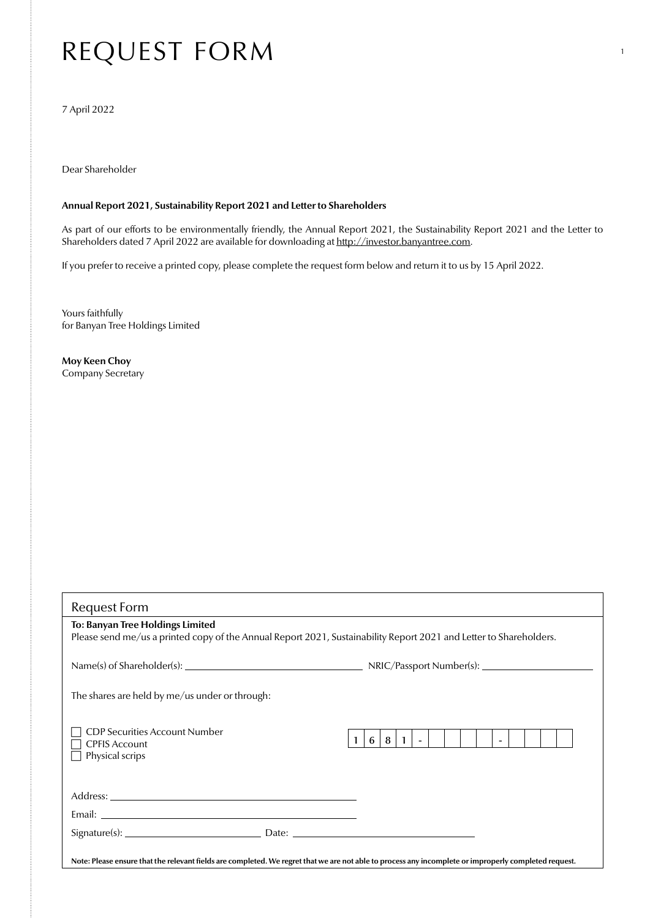## REQUEST FORM

7 April 2022

Dear Shareholder

## **Annual Report 2021, Sustainability Report 2021 and Letter to Shareholders**

As part of our efforts to be environmentally friendly, the Annual Report 2021, the Sustainability Report 2021 and the Letter to Shareholders dated 7 April 2022 are available for downloading at [http://investor.banyantree.com.](http://investor.banyantree.com)

1

If you prefer to receive a printed copy, please complete the request form below and return it to us by 15 April 2022.

Yours faithfully for Banyan Tree Holdings Limited

**Moy Keen Choy** Company Secretary

| <b>Request Form</b>                                                                                                                                   |                                       |
|-------------------------------------------------------------------------------------------------------------------------------------------------------|---------------------------------------|
| To: Banyan Tree Holdings Limited                                                                                                                      |                                       |
| Please send me/us a printed copy of the Annual Report 2021, Sustainability Report 2021 and Letter to Shareholders.                                    |                                       |
|                                                                                                                                                       |                                       |
|                                                                                                                                                       |                                       |
|                                                                                                                                                       |                                       |
| The shares are held by me/us under or through:                                                                                                        |                                       |
|                                                                                                                                                       |                                       |
|                                                                                                                                                       |                                       |
| <b>CDP Securities Account Number</b>                                                                                                                  | $8 \mid 1 \mid - \mid$<br>$\sim$<br>6 |
| <b>CPFIS Account</b><br>Physical scrips                                                                                                               |                                       |
|                                                                                                                                                       |                                       |
|                                                                                                                                                       |                                       |
|                                                                                                                                                       |                                       |
|                                                                                                                                                       |                                       |
|                                                                                                                                                       |                                       |
|                                                                                                                                                       |                                       |
|                                                                                                                                                       |                                       |
| Note: Please ensure that the relevant fields are completed. We regret that we are not able to process any incomplete or improperly completed request. |                                       |
|                                                                                                                                                       |                                       |